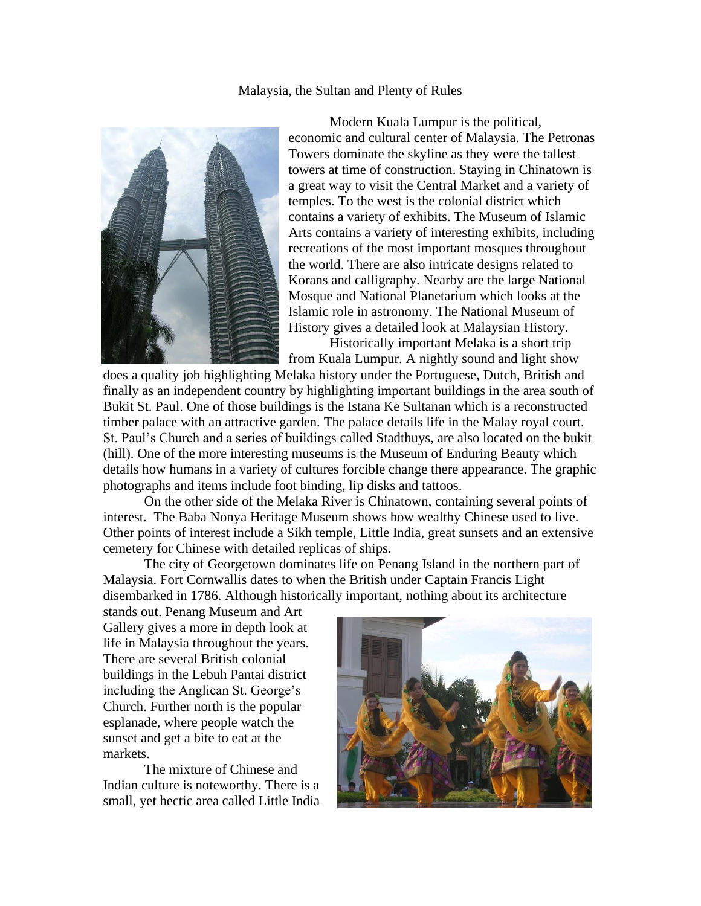Malaysia, the Sultan and Plenty of Rules



Modern Kuala Lumpur is the political, economic and cultural center of Malaysia. The Petronas Towers dominate the skyline as they were the tallest towers at time of construction. Staying in Chinatown is a great way to visit the Central Market and a variety of temples. To the west is the colonial district which contains a variety of exhibits. The Museum of Islamic Arts contains a variety of interesting exhibits, including recreations of the most important mosques throughout the world. There are also intricate designs related to Korans and calligraphy. Nearby are the large National Mosque and National Planetarium which looks at the Islamic role in astronomy. The National Museum of History gives a detailed look at Malaysian History.

Historically important Melaka is a short trip from Kuala Lumpur. A nightly sound and light show

does a quality job highlighting Melaka history under the Portuguese, Dutch, British and finally as an independent country by highlighting important buildings in the area south of Bukit St. Paul. One of those buildings is the Istana Ke Sultanan which is a reconstructed timber palace with an attractive garden. The palace details life in the Malay royal court. St. Paul's Church and a series of buildings called Stadthuys, are also located on the bukit (hill). One of the more interesting museums is the Museum of Enduring Beauty which details how humans in a variety of cultures forcible change there appearance. The graphic photographs and items include foot binding, lip disks and tattoos.

On the other side of the Melaka River is Chinatown, containing several points of interest. The Baba Nonya Heritage Museum shows how wealthy Chinese used to live. Other points of interest include a Sikh temple, Little India, great sunsets and an extensive cemetery for Chinese with detailed replicas of ships.

The city of Georgetown dominates life on Penang Island in the northern part of Malaysia. Fort Cornwallis dates to when the British under Captain Francis Light disembarked in 1786. Although historically important, nothing about its architecture

stands out. Penang Museum and Art Gallery gives a more in depth look at life in Malaysia throughout the years. There are several British colonial buildings in the Lebuh Pantai district including the Anglican St. George's Church. Further north is the popular esplanade, where people watch the sunset and get a bite to eat at the markets.

The mixture of Chinese and Indian culture is noteworthy. There is a small, yet hectic area called Little India

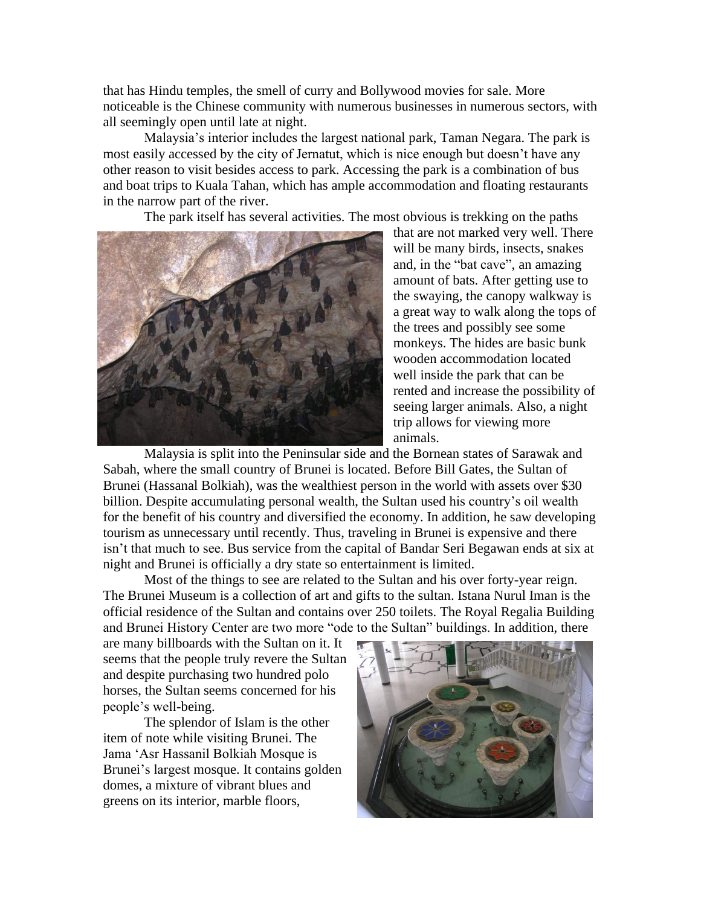that has Hindu temples, the smell of curry and Bollywood movies for sale. More noticeable is the Chinese community with numerous businesses in numerous sectors, with all seemingly open until late at night.

Malaysia's interior includes the largest national park, Taman Negara. The park is most easily accessed by the city of Jernatut, which is nice enough but doesn't have any other reason to visit besides access to park. Accessing the park is a combination of bus and boat trips to Kuala Tahan, which has ample accommodation and floating restaurants in the narrow part of the river.

The park itself has several activities. The most obvious is trekking on the paths



that are not marked very well. There will be many birds, insects, snakes and, in the "bat cave", an amazing amount of bats. After getting use to the swaying, the canopy walkway is a great way to walk along the tops of the trees and possibly see some monkeys. The hides are basic bunk wooden accommodation located well inside the park that can be rented and increase the possibility of seeing larger animals. Also, a night trip allows for viewing more animals.

Malaysia is split into the Peninsular side and the Bornean states of Sarawak and Sabah, where the small country of Brunei is located. Before Bill Gates, the Sultan of Brunei (Hassanal Bolkiah), was the wealthiest person in the world with assets over \$30 billion. Despite accumulating personal wealth, the Sultan used his country's oil wealth for the benefit of his country and diversified the economy. In addition, he saw developing tourism as unnecessary until recently. Thus, traveling in Brunei is expensive and there isn't that much to see. Bus service from the capital of Bandar Seri Begawan ends at six at night and Brunei is officially a dry state so entertainment is limited.

Most of the things to see are related to the Sultan and his over forty-year reign. The Brunei Museum is a collection of art and gifts to the sultan. Istana Nurul Iman is the official residence of the Sultan and contains over 250 toilets. The Royal Regalia Building and Brunei History Center are two more "ode to the Sultan" buildings. In addition, there

are many billboards with the Sultan on it. It seems that the people truly revere the Sultan and despite purchasing two hundred polo horses, the Sultan seems concerned for his people's well-being.

The splendor of Islam is the other item of note while visiting Brunei. The Jama 'Asr Hassanil Bolkiah Mosque is Brunei's largest mosque. It contains golden domes, a mixture of vibrant blues and greens on its interior, marble floors,